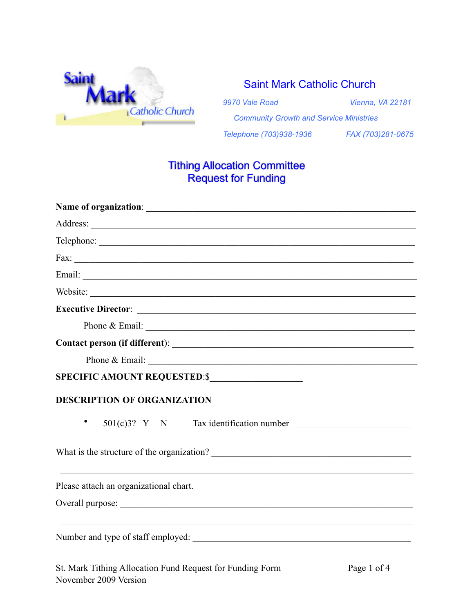

## Saint Mark Catholic Church

*9970 Vale Road Vienna, VA 22181*

 *Community Growth and Service Ministries*

*Telephone (703)938-1936 FAX (703)281-0675*

# Tithing Allocation Committee Request for Funding

| Telephone:                                                                                                                                                                                                                                                                                                                                                                                              |             |
|---------------------------------------------------------------------------------------------------------------------------------------------------------------------------------------------------------------------------------------------------------------------------------------------------------------------------------------------------------------------------------------------------------|-------------|
| Fax: $\overline{\phantom{a}}$                                                                                                                                                                                                                                                                                                                                                                           |             |
|                                                                                                                                                                                                                                                                                                                                                                                                         |             |
| Website:                                                                                                                                                                                                                                                                                                                                                                                                |             |
|                                                                                                                                                                                                                                                                                                                                                                                                         |             |
| Phone & Email: $\frac{1}{\sqrt{1-\frac{1}{2}}\sqrt{1-\frac{1}{2}}\sqrt{1-\frac{1}{2}}\sqrt{1-\frac{1}{2}}\sqrt{1-\frac{1}{2}}\sqrt{1-\frac{1}{2}}\sqrt{1-\frac{1}{2}}\sqrt{1-\frac{1}{2}}\sqrt{1-\frac{1}{2}}\sqrt{1-\frac{1}{2}}\sqrt{1-\frac{1}{2}}\sqrt{1-\frac{1}{2}}\sqrt{1-\frac{1}{2}}\sqrt{1-\frac{1}{2}}\sqrt{1-\frac{1}{2}}\sqrt{1-\frac{1}{2}}\sqrt{1-\frac{1}{2}}\sqrt{1-\frac{1}{2}}\sqrt$ |             |
|                                                                                                                                                                                                                                                                                                                                                                                                         |             |
| Phone & Email: $\blacksquare$                                                                                                                                                                                                                                                                                                                                                                           |             |
| SPECIFIC AMOUNT REQUESTED:\$                                                                                                                                                                                                                                                                                                                                                                            |             |
| <b>DESCRIPTION OF ORGANIZATION</b>                                                                                                                                                                                                                                                                                                                                                                      |             |
| $501(c)3$ ? Y N Tax identification number<br>$\bullet$                                                                                                                                                                                                                                                                                                                                                  |             |
|                                                                                                                                                                                                                                                                                                                                                                                                         |             |
| Please attach an organizational chart.                                                                                                                                                                                                                                                                                                                                                                  |             |
|                                                                                                                                                                                                                                                                                                                                                                                                         |             |
|                                                                                                                                                                                                                                                                                                                                                                                                         |             |
| St. Mark Tithing Allocation Fund Request for Funding Form                                                                                                                                                                                                                                                                                                                                               | Page 1 of 4 |

November 2009 Version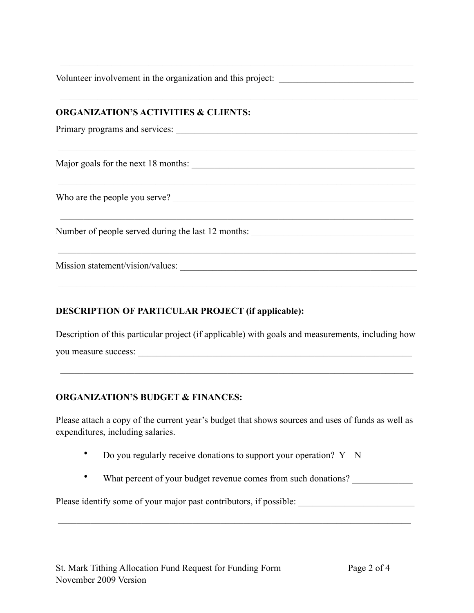Volunteer involvement in the organization and this project:

 $\mathcal{L}_\text{max}$  and  $\mathcal{L}_\text{max}$  and  $\mathcal{L}_\text{max}$  and  $\mathcal{L}_\text{max}$  and  $\mathcal{L}_\text{max}$  and  $\mathcal{L}_\text{max}$  and  $\mathcal{L}_\text{max}$ 

 $\mathcal{L}_\mathcal{L} = \{ \mathcal{L}_\mathcal{L} = \{ \mathcal{L}_\mathcal{L} = \{ \mathcal{L}_\mathcal{L} = \{ \mathcal{L}_\mathcal{L} = \{ \mathcal{L}_\mathcal{L} = \{ \mathcal{L}_\mathcal{L} = \{ \mathcal{L}_\mathcal{L} = \{ \mathcal{L}_\mathcal{L} = \{ \mathcal{L}_\mathcal{L} = \{ \mathcal{L}_\mathcal{L} = \{ \mathcal{L}_\mathcal{L} = \{ \mathcal{L}_\mathcal{L} = \{ \mathcal{L}_\mathcal{L} = \{ \mathcal{L}_\mathcal{$ 

 $\mathcal{L}_\mathcal{L} = \{ \mathcal{L}_\mathcal{L} = \{ \mathcal{L}_\mathcal{L} = \{ \mathcal{L}_\mathcal{L} = \{ \mathcal{L}_\mathcal{L} = \{ \mathcal{L}_\mathcal{L} = \{ \mathcal{L}_\mathcal{L} = \{ \mathcal{L}_\mathcal{L} = \{ \mathcal{L}_\mathcal{L} = \{ \mathcal{L}_\mathcal{L} = \{ \mathcal{L}_\mathcal{L} = \{ \mathcal{L}_\mathcal{L} = \{ \mathcal{L}_\mathcal{L} = \{ \mathcal{L}_\mathcal{L} = \{ \mathcal{L}_\mathcal{$ 

\_\_\_\_\_\_\_\_\_\_\_\_\_\_\_\_\_\_\_\_\_\_\_\_\_\_\_\_\_\_\_\_\_\_\_\_\_\_\_\_\_\_\_\_\_\_\_\_\_\_\_\_\_\_\_\_\_\_\_\_\_\_\_\_\_\_\_\_\_\_\_\_\_\_\_\_\_

 $\mathcal{L}_\text{max}$  and  $\mathcal{L}_\text{max}$  and  $\mathcal{L}_\text{max}$  and  $\mathcal{L}_\text{max}$  and  $\mathcal{L}_\text{max}$  and  $\mathcal{L}_\text{max}$  and  $\mathcal{L}_\text{max}$ 

 $\mathcal{L}_\mathcal{L} = \{ \mathcal{L}_\mathcal{L} = \{ \mathcal{L}_\mathcal{L} = \{ \mathcal{L}_\mathcal{L} = \{ \mathcal{L}_\mathcal{L} = \{ \mathcal{L}_\mathcal{L} = \{ \mathcal{L}_\mathcal{L} = \{ \mathcal{L}_\mathcal{L} = \{ \mathcal{L}_\mathcal{L} = \{ \mathcal{L}_\mathcal{L} = \{ \mathcal{L}_\mathcal{L} = \{ \mathcal{L}_\mathcal{L} = \{ \mathcal{L}_\mathcal{L} = \{ \mathcal{L}_\mathcal{L} = \{ \mathcal{L}_\mathcal{$ 

\_\_\_\_\_\_\_\_\_\_\_\_\_\_\_\_\_\_\_\_\_\_\_\_\_\_\_\_\_\_\_\_\_\_\_\_\_\_\_\_\_\_\_\_\_\_\_\_\_\_\_\_\_\_\_\_\_\_\_\_\_\_\_\_\_\_\_\_\_\_\_\_\_\_\_\_\_

### **ORGANIZATION'S ACTIVITIES & CLIENTS:**

Primary programs and services:

Major goals for the next 18 months: \_\_\_\_\_\_\_\_\_\_\_\_\_\_\_\_\_\_\_\_\_\_\_\_\_\_\_\_\_\_\_\_\_\_\_\_\_\_\_\_\_\_\_\_\_\_\_\_

Who are the people you serve? \_\_\_\_\_\_\_\_\_\_\_\_\_\_\_\_\_\_\_\_\_\_\_\_\_\_\_\_\_\_\_\_\_\_\_\_\_\_\_\_\_\_\_\_\_\_\_\_\_\_\_\_

Number of people served during the last 12 months:

Mission statement/vision/values:

#### **DESCRIPTION OF PARTICULAR PROJECT (if applicable):**

Description of this particular project (if applicable) with goals and measurements, including how you measure success: \_\_\_\_\_\_\_\_\_\_\_\_\_\_\_\_\_\_\_\_\_\_\_\_\_\_\_\_\_\_\_\_\_\_\_\_\_\_\_\_\_\_\_\_\_\_\_\_\_\_\_\_\_\_\_\_\_\_\_

 $\mathcal{L}_\text{max}$  and  $\mathcal{L}_\text{max}$  and  $\mathcal{L}_\text{max}$  and  $\mathcal{L}_\text{max}$  and  $\mathcal{L}_\text{max}$  and  $\mathcal{L}_\text{max}$  and  $\mathcal{L}_\text{max}$ 

#### **ORGANIZATION'S BUDGET & FINANCES:**

Please attach a copy of the current year's budget that shows sources and uses of funds as well as expenditures, including salaries.

- Do you regularly receive donations to support your operation? Y N
- What percent of your budget revenue comes from such donations?

Please identify some of your major past contributors, if possible:

\_\_\_\_\_\_\_\_\_\_\_\_\_\_\_\_\_\_\_\_\_\_\_\_\_\_\_\_\_\_\_\_\_\_\_\_\_\_\_\_\_\_\_\_\_\_\_\_\_\_\_\_\_\_\_\_\_\_\_\_\_\_\_\_\_\_\_\_\_\_\_\_\_\_\_\_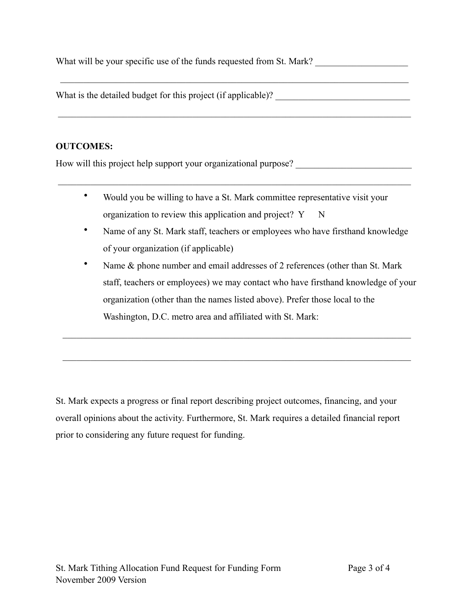What will be your specific use of the funds requested from St. Mark?

What is the detailed budget for this project (if applicable)?

#### **OUTCOMES:**

How will this project help support your organizational purpose? \_\_\_\_\_\_\_\_\_\_\_\_\_\_\_\_

• Would you be willing to have a St. Mark committee representative visit your organization to review this application and project? Y N

\_\_\_\_\_\_\_\_\_\_\_\_\_\_\_\_\_\_\_\_\_\_\_\_\_\_\_\_\_\_\_\_\_\_\_\_\_\_\_\_\_\_\_\_\_\_\_\_\_\_\_\_\_\_\_\_\_\_\_\_\_\_\_\_\_\_\_\_\_\_\_\_\_\_\_\_

\_\_\_\_\_\_\_\_\_\_\_\_\_\_\_\_\_\_\_\_\_\_\_\_\_\_\_\_\_\_\_\_\_\_\_\_\_\_\_\_\_\_\_\_\_\_\_\_\_\_\_\_\_\_\_\_\_\_\_\_\_\_\_\_\_\_\_\_\_\_\_\_\_\_\_

\_\_\_\_\_\_\_\_\_\_\_\_\_\_\_\_\_\_\_\_\_\_\_\_\_\_\_\_\_\_\_\_\_\_\_\_\_\_\_\_\_\_\_\_\_\_\_\_\_\_\_\_\_\_\_\_\_\_\_\_\_\_\_\_\_\_\_\_\_\_\_\_\_\_\_\_

- Name of any St. Mark staff, teachers or employees who have firsthand knowledge of your organization (if applicable)
- Name & phone number and email addresses of 2 references (other than St. Mark staff, teachers or employees) we may contact who have firsthand knowledge of your organization (other than the names listed above). Prefer those local to the Washington, D.C. metro area and affiliated with St. Mark:

St. Mark expects a progress or final report describing project outcomes, financing, and your overall opinions about the activity. Furthermore, St. Mark requires a detailed financial report prior to considering any future request for funding.

 $\mathcal{L}_\text{max}$  , and the contribution of the contribution of the contribution of the contribution of the contribution of the contribution of the contribution of the contribution of the contribution of the contribution of t

 $\mathcal{L}_\text{max}$  , and the contribution of the contribution of the contribution of the contribution of the contribution of the contribution of the contribution of the contribution of the contribution of the contribution of t